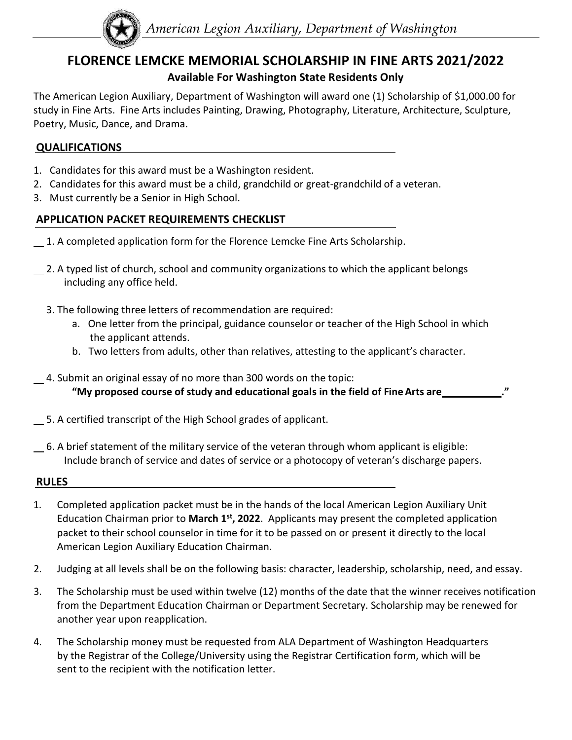

# **FLORENCE LEMCKE MEMORIAL SCHOLARSHIP IN FINE ARTS 2021/2022**

### **Available For Washington State Residents Only**

The American Legion Auxiliary, Department of Washington will award one (1) Scholarship of \$1,000.00 for study in Fine Arts. Fine Arts includes Painting, Drawing, Photography, Literature, Architecture, Sculpture, Poetry, Music, Dance, and Drama.

#### **QUALIFICATIONS**

- 1. Candidates for this award must be a Washington resident.
- 2. Candidates for this award must be a child, grandchild or great-grandchild of a veteran.
- 3. Must currently be a Senior in High School.

#### **APPLICATION PACKET REQUIREMENTS CHECKLIST**

- 1. A completed application form for the Florence Lemcke Fine Arts Scholarship.
- 12. A typed list of church, school and community organizations to which the applicant belongs including any office held.
- 3. The following three letters of recommendation are required:
	- a. One letter from the principal, guidance counselor or teacher of the High School in which the applicant attends.
	- b. Two letters from adults, other than relatives, attesting to the applicant's character.
- 4. Submit an original essay of no more than 300 words on the topic: **"My proposed course of study and educational goals in the field of FineArts are ."**
- 5. A certified transcript of the High School grades of applicant.
- 6. A brief statement of the military service of the veteran through whom applicant is eligible: Include branch of service and dates of service or a photocopy of veteran's discharge papers.

#### **RULES**

- 1. Completed application packet must be in the hands of the local American Legion Auxiliary Unit Education Chairman prior to March 1<sup>st</sup>, 2022. Applicants may present the completed application packet to their school counselor in time for it to be passed on or present it directly to the local American Legion Auxiliary Education Chairman.
- 2. Judging at all levels shall be on the following basis: character, leadership, scholarship, need, and essay.
- 3. The Scholarship must be used within twelve (12) months of the date that the winner receives notification from the Department Education Chairman or Department Secretary. Scholarship may be renewed for another year upon reapplication.
- 4. The Scholarship money must be requested from ALA Department of Washington Headquarters by the Registrar of the College/University using the Registrar Certification form, which will be sent to the recipient with the notification letter.